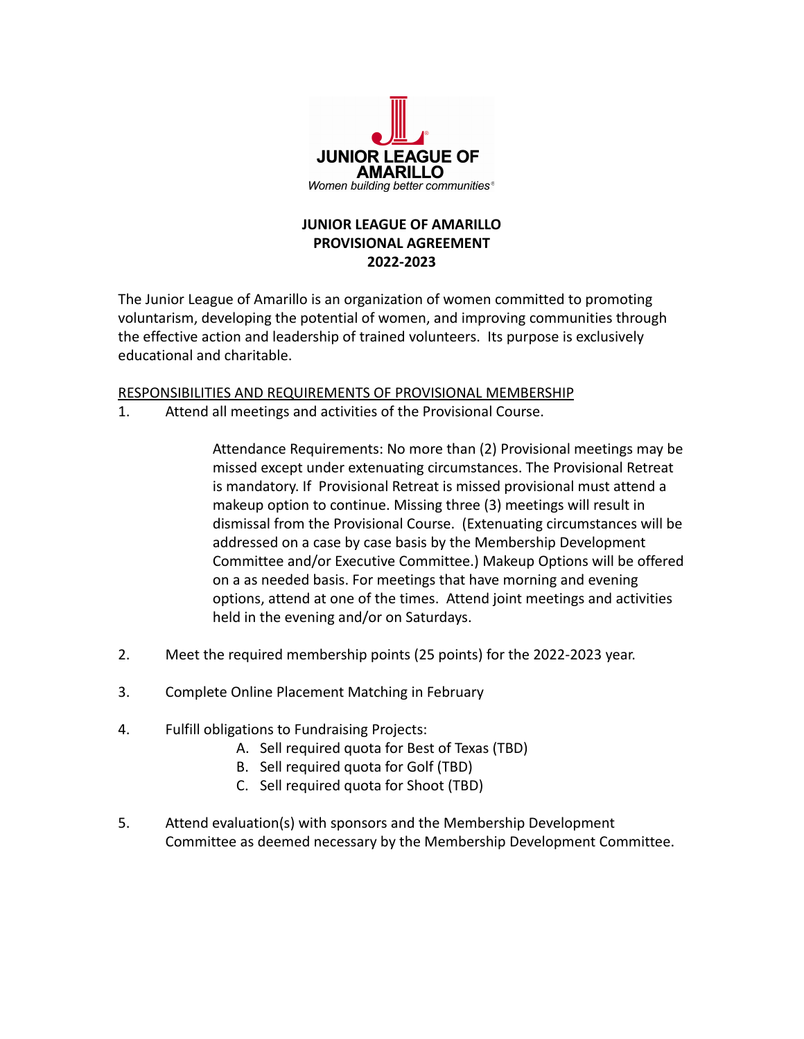

## **JUNIOR LEAGUE OF AMARILLO PROVISIONAL AGREEMENT 2022-2023**

The Junior League of Amarillo is an organization of women committed to promoting voluntarism, developing the potential of women, and improving communities through the effective action and leadership of trained volunteers. Its purpose is exclusively educational and charitable.

## RESPONSIBILITIES AND REQUIREMENTS OF PROVISIONAL MEMBERSHIP

1. Attend all meetings and activities of the Provisional Course.

Attendance Requirements: No more than (2) Provisional meetings may be missed except under extenuating circumstances. The Provisional Retreat is mandatory. If Provisional Retreat is missed provisional must attend a makeup option to continue. Missing three (3) meetings will result in dismissal from the Provisional Course. (Extenuating circumstances will be addressed on a case by case basis by the Membership Development Committee and/or Executive Committee.) Makeup Options will be offered on a as needed basis. For meetings that have morning and evening options, attend at one of the times. Attend joint meetings and activities held in the evening and/or on Saturdays.

- 2. Meet the required membership points (25 points) for the 2022-2023 year.
- 3. Complete Online Placement Matching in February
- 4. Fulfill obligations to Fundraising Projects:
	- A. Sell required quota for Best of Texas (TBD)
	- B. Sell required quota for Golf (TBD)
	- C. Sell required quota for Shoot (TBD)
- 5. Attend evaluation(s) with sponsors and the Membership Development Committee as deemed necessary by the Membership Development Committee.